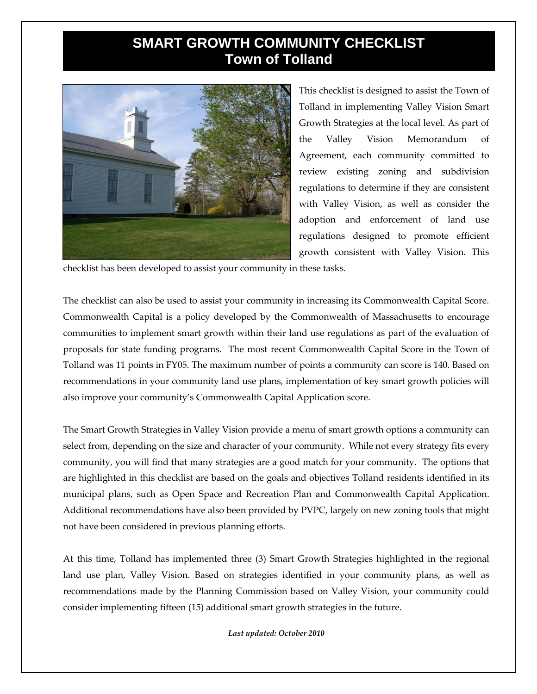## **SMART GROWTH COMMUNITY CHECKLIST Town of Tolland**



This checklist is designed to assist the Town of Tolland in implementing Valley Vision Smart Growth Strategies at the local level. As part of the Valley Vision Memorandum of Agreement, each community committed to review existing zoning and subdivision regulations to determine if they are consistent with Valley Vision, as well as consider the adoption and enforcement of land use regulations designed to promote efficient growth consistent with Valley Vision. This

checklist has been developed to assist your community in these tasks.

The checklist can also be used to assist your community in increasing its Commonwealth Capital Score. Commonwealth Capital is a policy developed by the Commonwealth of Massachusetts to encourage communities to implement smart growth within their land use regulations as part of the evaluation of proposals for state funding programs. The most recent Commonwealth Capital Score in the Town of Tolland was 11 points in FY05. The maximum number of points a community can score is 140. Based on recommendations in your community land use plans, implementation of key smart growth policies will also improve your community's Commonwealth Capital Application score.

The Smart Growth Strategies in Valley Vision provide a menu of smart growth options a community can select from, depending on the size and character of your community. While not every strategy fits every community, you will find that many strategies are a good match for your community. The options that are highlighted in this checklist are based on the goals and objectives Tolland residents identified in its municipal plans, such as Open Space and Recreation Plan and Commonwealth Capital Application. Additional recommendations have also been provided by PVPC, largely on new zoning tools that might not have been considered in previous planning efforts.

At this time, Tolland has implemented three (3) Smart Growth Strategies highlighted in the regional land use plan, Valley Vision. Based on strategies identified in your community plans, as well as recommendations made by the Planning Commission based on Valley Vision, your community could consider implementing fifteen (15) additional smart growth strategies in the future.

*Last updated: October 2010*